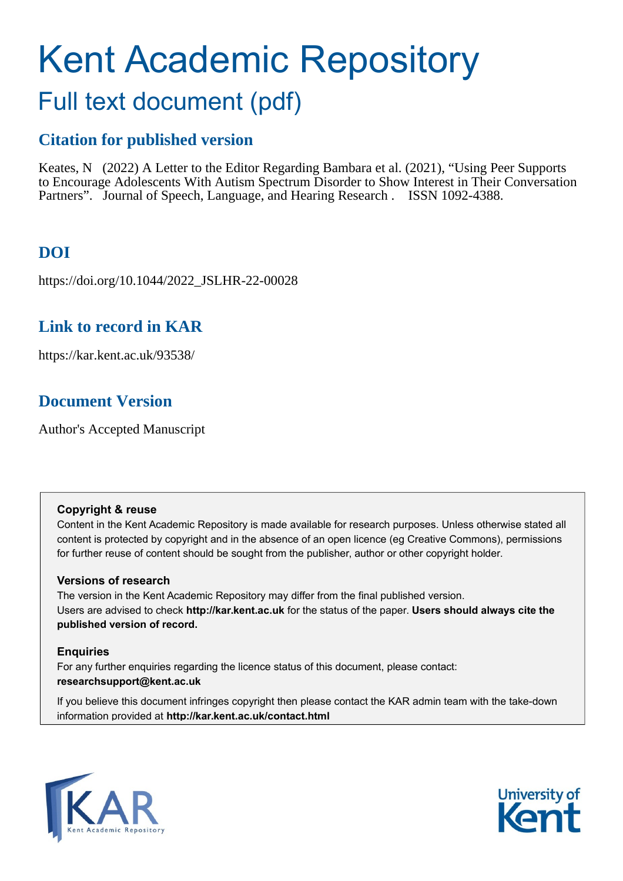# Kent Academic Repository Full text document (pdf)

### **Citation for published version**

Keates, N (2022) A Letter to the Editor Regarding Bambara et al. (2021), "Using Peer Supports to Encourage Adolescents With Autism Spectrum Disorder to Show Interest in Their Conversation Partners". Journal of Speech, Language, and Hearing Research . ISSN 1092-4388.

# **DOI**

https://doi.org/10.1044/2022\_JSLHR-22-00028

## **Link to record in KAR**

https://kar.kent.ac.uk/93538/

# **Document Version**

Author's Accepted Manuscript

### **Copyright & reuse**

Content in the Kent Academic Repository is made available for research purposes. Unless otherwise stated all content is protected by copyright and in the absence of an open licence (eg Creative Commons), permissions for further reuse of content should be sought from the publisher, author or other copyright holder.

### **Versions of research**

The version in the Kent Academic Repository may differ from the final published version. Users are advised to check **http://kar.kent.ac.uk** for the status of the paper. **Users should always cite the published version of record.**

### **Enquiries**

For any further enquiries regarding the licence status of this document, please contact: **researchsupport@kent.ac.uk**

If you believe this document infringes copyright then please contact the KAR admin team with the take-down information provided at **http://kar.kent.ac.uk/contact.html**



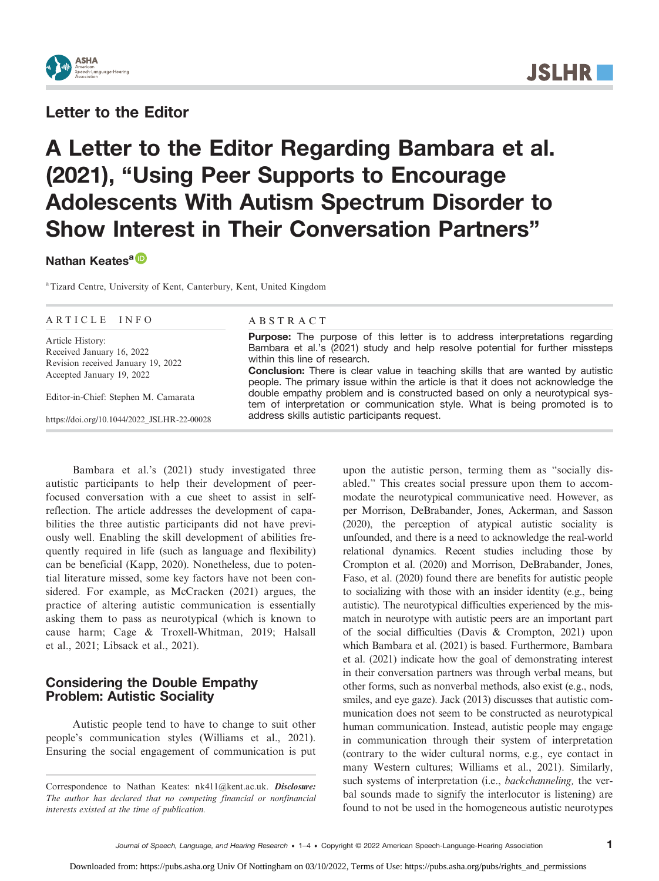

### Letter to the Editor

# A Letter to the Editor Regarding Bambara et al. (2021), "Using Peer Supports to Encourage Adolescents With Autism Spectrum Disorder to Show Interest in Their Conversation Partners"

### Nathan Keates<sup>a</sup>

<sup>a</sup> Tizard Centre, University of Kent, Canterbury, Kent, United Kingdom

#### ARTICLE INFO

Article History: Received January 16, 2022 Revision received January 19, 2022 Accepted January 19, 2022

Editor-in-Chief: Stephen M. Camarata

[https://doi.org/10.1044/2022\\_JSLHR-22-00028](https://doi.org/10.1044/2022_JSLHR-22-00028)

### ABSTRACT

**Purpose:** The purpose of this letter is to address interpretations regarding Bambara et al.'s (2021) study and help resolve potential for further missteps within this line of research. Conclusion: There is clear value in teaching skills that are wanted by autistic people. The primary issue within the article is that it does not acknowledge the double empathy problem and is constructed based on only a neurotypical system of interpretation or communication style. What is being promoted is to address skills autistic participants request.

Bambara et al.'s (2021) study investigated three autistic participants to help their development of peerfocused conversation with a cue sheet to assist in selfreflection. The article addresses the development of capabilities the three autistic participants did not have previously well. Enabling the skill development of abilities frequently required in life (such as language and flexibility) can be beneficial (Kapp, 2020). Nonetheless, due to potential literature missed, some key factors have not been considered. For example, as McCracken (2021) argues, the practice of altering autistic communication is essentially asking them to pass as neurotypical (which is known to cause harm; Cage & Troxell-Whitman, 2019; Halsall et al., 2021; Libsack et al., 2021).

### Considering the Double Empathy Problem: Autistic Sociality

Autistic people tend to have to change to suit other people's communication styles (Williams et al., 2021). Ensuring the social engagement of communication is put upon the autistic person, terming them as "socially disabled." This creates social pressure upon them to accommodate the neurotypical communicative need. However, as per Morrison, DeBrabander, Jones, Ackerman, and Sasson (2020), the perception of atypical autistic sociality is unfounded, and there is a need to acknowledge the real-world relational dynamics. Recent studies including those by Crompton et al. (2020) and Morrison, DeBrabander, Jones, Faso, et al. (2020) found there are benefits for autistic people to socializing with those with an insider identity (e.g., being autistic). The neurotypical difficulties experienced by the mismatch in neurotype with autistic peers are an important part of the social difficulties (Davis & Crompton, 2021) upon which Bambara et al. (2021) is based. Furthermore, Bambara et al. (2021) indicate how the goal of demonstrating interest in their conversation partners was through verbal means, but other forms, such as nonverbal methods, also exist (e.g., nods, smiles, and eye gaze). Jack (2013) discusses that autistic communication does not seem to be constructed as neurotypical human communication. Instead, autistic people may engage in communication through their system of interpretation (contrary to the wider cultural norms, e.g., eye contact in many Western cultures; Williams et al., 2021). Similarly, such systems of interpretation (i.e., *backchanneling*, the verbal sounds made to signify the interlocutor is listening) are found to not be used in the homogeneous autistic neurotypes

Correspondence to Nathan Keates: nk411@kent.ac.uk. Disclosure: The author has declared that no competing financial or nonfinancial interests existed at the time of publication.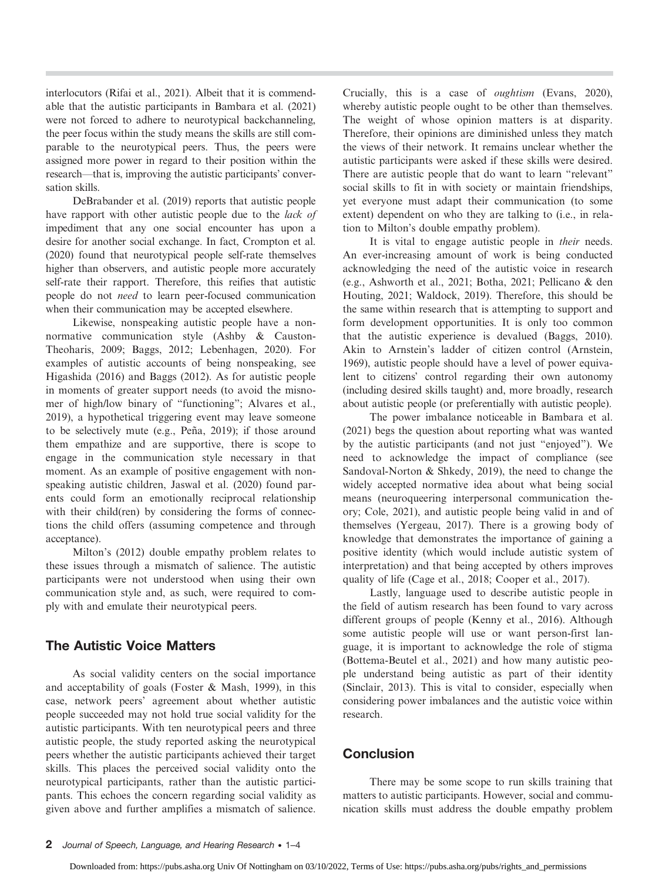interlocutors (Rifai et al., 2021). Albeit that it is commendable that the autistic participants in Bambara et al. (2021) were not forced to adhere to neurotypical backchanneling, the peer focus within the study means the skills are still comparable to the neurotypical peers. Thus, the peers were assigned more power in regard to their position within the research—that is, improving the autistic participants' conversation skills.

DeBrabander et al. (2019) reports that autistic people have rapport with other autistic people due to the lack of impediment that any one social encounter has upon a desire for another social exchange. In fact, Crompton et al. (2020) found that neurotypical people self-rate themselves higher than observers, and autistic people more accurately self-rate their rapport. Therefore, this reifies that autistic people do not need to learn peer-focused communication when their communication may be accepted elsewhere.

Likewise, nonspeaking autistic people have a nonnormative communication style (Ashby & Causton-Theoharis, 2009; Baggs, 2012; Lebenhagen, 2020). For examples of autistic accounts of being nonspeaking, see Higashida (2016) and Baggs (2012). As for autistic people in moments of greater support needs (to avoid the misnomer of high/low binary of "functioning"; Alvares et al., 2019), a hypothetical triggering event may leave someone to be selectively mute (e.g., Peña, 2019); if those around them empathize and are supportive, there is scope to engage in the communication style necessary in that moment. As an example of positive engagement with nonspeaking autistic children, Jaswal et al. (2020) found parents could form an emotionally reciprocal relationship with their child(ren) by considering the forms of connections the child offers (assuming competence and through acceptance).

Milton's (2012) double empathy problem relates to these issues through a mismatch of salience. The autistic participants were not understood when using their own communication style and, as such, were required to comply with and emulate their neurotypical peers.

### The Autistic Voice Matters

As social validity centers on the social importance and acceptability of goals (Foster & Mash, 1999), in this case, network peers' agreement about whether autistic people succeeded may not hold true social validity for the autistic participants. With ten neurotypical peers and three autistic people, the study reported asking the neurotypical peers whether the autistic participants achieved their target skills. This places the perceived social validity onto the neurotypical participants, rather than the autistic participants. This echoes the concern regarding social validity as given above and further amplifies a mismatch of salience. Crucially, this is a case of oughtism (Evans, 2020), whereby autistic people ought to be other than themselves. The weight of whose opinion matters is at disparity. Therefore, their opinions are diminished unless they match the views of their network. It remains unclear whether the autistic participants were asked if these skills were desired. There are autistic people that do want to learn "relevant" social skills to fit in with society or maintain friendships, yet everyone must adapt their communication (to some extent) dependent on who they are talking to (i.e., in relation to Milton's double empathy problem).

It is vital to engage autistic people in their needs. An ever-increasing amount of work is being conducted acknowledging the need of the autistic voice in research (e.g., Ashworth et al., 2021; Botha, 2021; Pellicano & den Houting, 2021; Waldock, 2019). Therefore, this should be the same within research that is attempting to support and form development opportunities. It is only too common that the autistic experience is devalued (Baggs, 2010). Akin to Arnstein's ladder of citizen control (Arnstein, 1969), autistic people should have a level of power equivalent to citizens' control regarding their own autonomy (including desired skills taught) and, more broadly, research about autistic people (or preferentially with autistic people).

The power imbalance noticeable in Bambara et al. (2021) begs the question about reporting what was wanted by the autistic participants (and not just "enjoyed"). We need to acknowledge the impact of compliance (see Sandoval-Norton & Shkedy, 2019), the need to change the widely accepted normative idea about what being social means (neuroqueering interpersonal communication theory; Cole, 2021), and autistic people being valid in and of themselves (Yergeau, 2017). There is a growing body of knowledge that demonstrates the importance of gaining a positive identity (which would include autistic system of interpretation) and that being accepted by others improves quality of life (Cage et al., 2018; Cooper et al., 2017).

Lastly, language used to describe autistic people in the field of autism research has been found to vary across different groups of people (Kenny et al., 2016). Although some autistic people will use or want person-first language, it is important to acknowledge the role of stigma (Bottema-Beutel et al., 2021) and how many autistic people understand being autistic as part of their identity (Sinclair, 2013). This is vital to consider, especially when considering power imbalances and the autistic voice within research.

### Conclusion

There may be some scope to run skills training that matters to autistic participants. However, social and communication skills must address the double empathy problem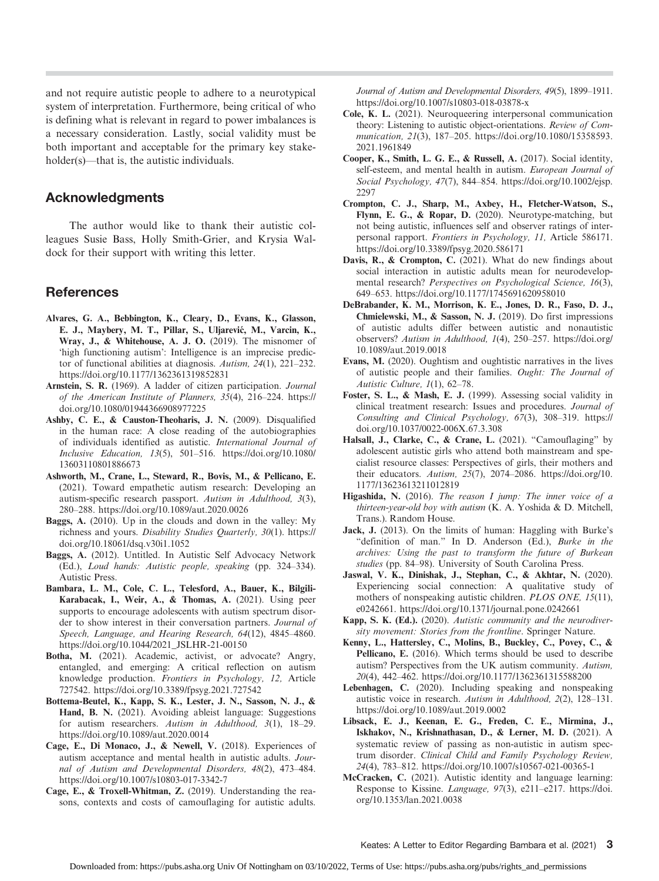and not require autistic people to adhere to a neurotypical system of interpretation. Furthermore, being critical of who is defining what is relevant in regard to power imbalances is a necessary consideration. Lastly, social validity must be both important and acceptable for the primary key stakeholder(s)—that is, the autistic individuals.

### Acknowledgments

The author would like to thank their autistic colleagues Susie Bass, Holly Smith-Grier, and Krysia Waldock for their support with writing this letter.

### References

- Alvares, G. A., Bebbington, K., Cleary, D., Evans, K., Glasson, E. J., Maybery, M. T., Pillar, S., Uljarević, M., Varcin, K., Wray, J., & Whitehouse, A. J. O. (2019). The misnomer of 'high functioning autism': Intelligence is an imprecise predictor of functional abilities at diagnosis. Autism, 24(1), 221–232. <https://doi.org/10.1177/1362361319852831>
- Arnstein, S. R. (1969). A ladder of citizen participation. Journal of the American Institute of Planners, 35(4), 216–224. [https://](https://doi.org/10.1080/01944366908977225) [doi.org/10.1080/01944366908977225](https://doi.org/10.1080/01944366908977225)
- Ashby, C. E., & Causton-Theoharis, J. N. (2009). Disqualified in the human race: A close reading of the autobiographies of individuals identified as autistic. International Journal of Inclusive Education, 13(5), 501–516. [https://doi.org/10.1080/](https://doi.org/10.1080/13603110801886673) [13603110801886673](https://doi.org/10.1080/13603110801886673)
- Ashworth, M., Crane, L., Steward, R., Bovis, M., & Pellicano, E. (2021). Toward empathetic autism research: Developing an autism-specific research passport. Autism in Adulthood, 3(3), 280–288.<https://doi.org/10.1089/aut.2020.0026>
- Baggs, A. (2010). Up in the clouds and down in the valley: My richness and yours. Disability Studies Quarterly, 30(1). [https://](https://doi.org/10.18061/dsq.v30i1.1052) [doi.org/10.18061/dsq.v30i1.1052](https://doi.org/10.18061/dsq.v30i1.1052)
- Baggs, A. (2012). Untitled. In Autistic Self Advocacy Network (Ed.), Loud hands: Autistic people, speaking (pp. 324–334). Autistic Press.
- Bambara, L. M., Cole, C. L., Telesford, A., Bauer, K., Bilgili-Karabacak, I., Weir, A., & Thomas, A. (2021). Using peer supports to encourage adolescents with autism spectrum disorder to show interest in their conversation partners. Journal of Speech, Language, and Hearing Research, 64(12), 4845–4860. [https://doi.org/10.1044/2021\\_JSLHR-21-00150](https://doi.org/10.1044/2021_JSLHR-21-00150)
- Botha, M. (2021). Academic, activist, or advocate? Angry, entangled, and emerging: A critical reflection on autism knowledge production. Frontiers in Psychology, 12, Article 727542.<https://doi.org/10.3389/fpsyg.2021.727542>
- Bottema-Beutel, K., Kapp, S. K., Lester, J. N., Sasson, N. J., & Hand, B. N. (2021). Avoiding ableist language: Suggestions for autism researchers. Autism in Adulthood, 3(1), 18–29. <https://doi.org/10.1089/aut.2020.0014>
- Cage, E., Di Monaco, J., & Newell, V. (2018). Experiences of autism acceptance and mental health in autistic adults. Journal of Autism and Developmental Disorders, 48(2), 473–484. <https://doi.org/10.1007/s10803-017-3342-7>
- Cage, E., & Troxell-Whitman, Z. (2019). Understanding the reasons, contexts and costs of camouflaging for autistic adults.

Journal of Autism and Developmental Disorders, 49(5), 1899–1911. <https://doi.org/10.1007/s10803-018-03878-x>

- Cole, K. L. (2021). Neuroqueering interpersonal communication theory: Listening to autistic object-orientations. Review of Communication, 21(3), 187–205. [https://doi.org/10.1080/15358593.](https://doi.org/10.1080/15358593.2021.1961849) [2021.1961849](https://doi.org/10.1080/15358593.2021.1961849)
- Cooper, K., Smith, L. G. E., & Russell, A. (2017). Social identity, self-esteem, and mental health in autism. European Journal of Social Psychology, 47(7), 844–854. [https://doi.org/10.1002/ejsp.](https://doi.org/10.1002/ejsp.2297) [2297](https://doi.org/10.1002/ejsp.2297)
- Crompton, C. J., Sharp, M., Axbey, H., Fletcher-Watson, S., Flynn, E. G., & Ropar, D. (2020). Neurotype-matching, but not being autistic, influences self and observer ratings of interpersonal rapport. Frontiers in Psychology, 11, Article 586171. <https://doi.org/10.3389/fpsyg.2020.586171>
- Davis, R., & Crompton, C. (2021). What do new findings about social interaction in autistic adults mean for neurodevelopmental research? Perspectives on Psychological Science, 16(3), 649–653.<https://doi.org/10.1177/1745691620958010>
- DeBrabander, K. M., Morrison, K. E., Jones, D. R., Faso, D. J., Chmielewski, M., & Sasson, N. J. (2019). Do first impressions of autistic adults differ between autistic and nonautistic observers? Autism in Adulthood, 1(4), 250–257. [https://doi.org/](https://doi.org/10.1089/aut.2019.0018) [10.1089/aut.2019.0018](https://doi.org/10.1089/aut.2019.0018)
- Evans, M. (2020). Oughtism and oughtistic narratives in the lives of autistic people and their families. Ought: The Journal of Autistic Culture, 1(1), 62–78.
- Foster, S. L., & Mash, E. J. (1999). Assessing social validity in clinical treatment research: Issues and procedures. Journal of Consulting and Clinical Psychology, 67(3), 308–319. [https://](https://doi.org/10.1037/0022-006X.67.3.308) [doi.org/10.1037/0022-006X.67.3.308](https://doi.org/10.1037/0022-006X.67.3.308)
- Halsall, J., Clarke, C., & Crane, L. (2021). "Camouflaging" by adolescent autistic girls who attend both mainstream and specialist resource classes: Perspectives of girls, their mothers and their educators. Autism, 25(7), 2074–2086. [https://doi.org/10.](https://doi.org/10.1177/13623613211012819) [1177/13623613211012819](https://doi.org/10.1177/13623613211012819)
- Higashida, N. (2016). The reason I jump: The inner voice of a thirteen-year-old boy with autism (K. A. Yoshida & D. Mitchell, Trans.). Random House.
- Jack, J. (2013). On the limits of human: Haggling with Burke's "definition of man." In D. Anderson (Ed.), Burke in the archives: Using the past to transform the future of Burkean studies (pp. 84–98). University of South Carolina Press.
- Jaswal, V. K., Dinishak, J., Stephan, C., & Akhtar, N. (2020). Experiencing social connection: A qualitative study of mothers of nonspeaking autistic children. PLOS ONE, 15(11), e0242661.<https://doi.org/10.1371/journal.pone.0242661>
- Kapp, S. K. (Ed.). (2020). Autistic community and the neurodiversity movement: Stories from the frontline. Springer Nature.
- Kenny, L., Hattersley, C., Molins, B., Buckley, C., Povey, C., & Pellicano, E. (2016). Which terms should be used to describe autism? Perspectives from the UK autism community. Autism, 20(4), 442–462.<https://doi.org/10.1177/1362361315588200>
- Lebenhagen, C. (2020). Including speaking and nonspeaking autistic voice in research. Autism in Adulthood, 2(2), 128–131. <https://doi.org/10.1089/aut.2019.0002>
- Libsack, E. J., Keenan, E. G., Freden, C. E., Mirmina, J., Iskhakov, N., Krishnathasan, D., & Lerner, M. D. (2021). A systematic review of passing as non-autistic in autism spectrum disorder. Clinical Child and Family Psychology Review, 24(4), 783–812.<https://doi.org/10.1007/s10567-021-00365-1>
- McCracken, C. (2021). Autistic identity and language learning: Response to Kissine. Language, 97(3), e211–e217. [https://doi.](https://doi.org/10.1353/lan.2021.0038) [org/10.1353/lan.2021.0038](https://doi.org/10.1353/lan.2021.0038)